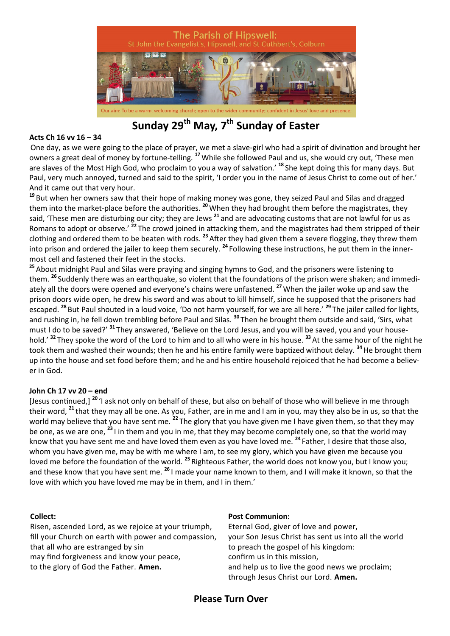

**Sunday 29th May, 7th Sunday of Easter**

#### **Acts Ch 16 vv 16 – 34**

One day, as we were going to the place of prayer, we met a slave-girl who had a spirit of divination and brought her owners a great deal of money by fortune-telling. **<sup>17</sup>**While she followed Paul and us, she would cry out, 'These men are slaves of the Most High God, who proclaim to you a way of salvation.' **<sup>18</sup>** She kept doing this for many days. But Paul, very much annoyed, turned and said to the spirit, 'I order you in the name of Jesus Christ to come out of her.' And it came out that very hour.

**<sup>19</sup>** But when her owners saw that their hope of making money was gone, they seized Paul and Silas and dragged them into the market-place before the authorities. **<sup>20</sup>**When they had brought them before the magistrates, they said, 'These men are disturbing our city; they are Jews **<sup>21</sup>** and are advocating customs that are not lawful for us as Romans to adopt or observe.' **<sup>22</sup>** The crowd joined in attacking them, and the magistrates had them stripped of their clothing and ordered them to be beaten with rods. **<sup>23</sup>**After they had given them a severe flogging, they threw them into prison and ordered the jailer to keep them securely. **<sup>24</sup>** Following these instructions, he put them in the innermost cell and fastened their feet in the stocks.

**<sup>25</sup>** About midnight Paul and Silas were praying and singing hymns to God, and the prisoners were listening to them. **<sup>26</sup>** Suddenly there was an earthquake, so violent that the foundations of the prison were shaken; and immediately all the doors were opened and everyone's chains were unfastened. **<sup>27</sup>**When the jailer woke up and saw the prison doors wide open, he drew his sword and was about to kill himself, since he supposed that the prisoners had escaped. **<sup>28</sup>** But Paul shouted in a loud voice, 'Do not harm yourself, for we are all here.' **<sup>29</sup>** The jailer called for lights, and rushing in, he fell down trembling before Paul and Silas. **<sup>30</sup>** Then he brought them outside and said, 'Sirs, what must I do to be saved?' **<sup>31</sup>** They answered, 'Believe on the Lord Jesus, and you will be saved, you and your household.' **<sup>32</sup>** They spoke the word of the Lord to him and to all who were in his house. **<sup>33</sup>** At the same hour of the night he took them and washed their wounds; then he and his entire family were baptized without delay. **<sup>34</sup>**He brought them up into the house and set food before them; and he and his entire household rejoiced that he had become a believer in God.

### **John Ch 17 vv 20 – end**

[Jesus continued,] **<sup>20</sup>** 'I ask not only on behalf of these, but also on behalf of those who will believe in me through their word, **<sup>21</sup>** that they may all be one. As you, Father, are in me and I am in you, may they also be in us, so that the world may believe that you have sent me. **<sup>22</sup>** The glory that you have given me I have given them, so that they may be one, as we are one, **<sup>23</sup>** I in them and you in me, that they may become completely one, so that the world may know that you have sent me and have loved them even as you have loved me. **<sup>24</sup>** Father, I desire that those also, whom you have given me, may be with me where I am, to see my glory, which you have given me because you loved me before the foundation of the world. **<sup>25</sup>** Righteous Father, the world does not know you, but I know you; and these know that you have sent me. **<sup>26</sup>** I made your name known to them, and I will make it known, so that the love with which you have loved me may be in them, and I in them.'

#### **Collect:**

Risen, ascended Lord, as we rejoice at your triumph, fill your Church on earth with power and compassion, that all who are estranged by sin may find forgiveness and know your peace, to the glory of God the Father. **Amen.**

#### **Post Communion:**

Eternal God, giver of love and power, your Son Jesus Christ has sent us into all the world to preach the gospel of his kingdom: confirm us in this mission, and help us to live the good news we proclaim; through Jesus Christ our Lord. **Amen.**